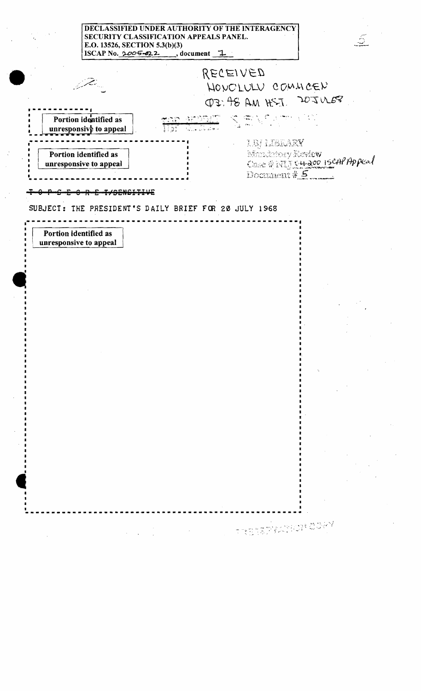## DECLASSIFIED UNDER AUTHORITY OF THE INTERAGENCY SECURITY CLASSIFICATION APPEALS PANEL. E.O. 13526, SECTION 5.3(b)(3) ISCAP No.  $2005 - 22$ , document 1.

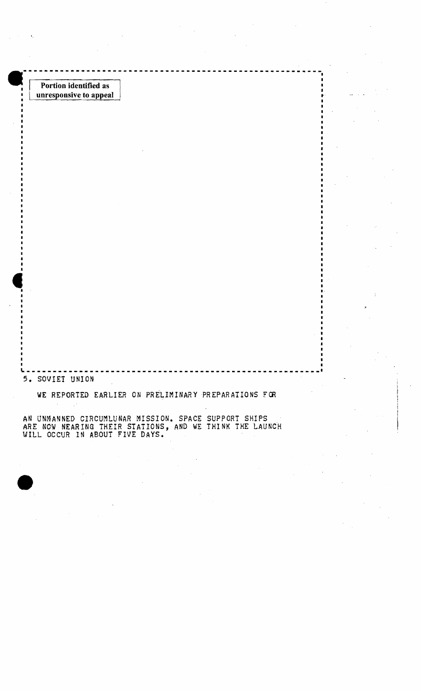

WILL OCCUR IN ABOUT FIVE DAYS.

•